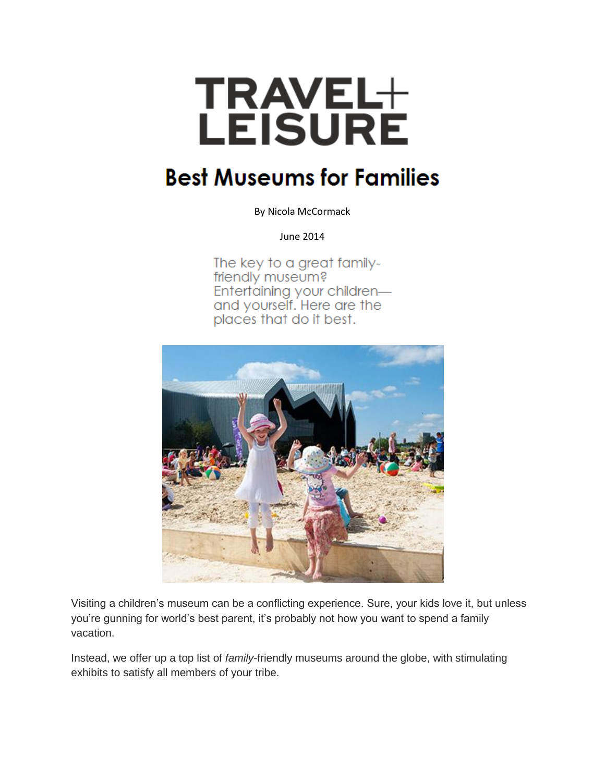

## **Best Museums for Families**

By Nicola McCormack

June 2014

The key to a great familyfriendly museum? Entertaining your childrenand yourself. Here are the places that do it best.



Visiting a children's museum can be a conflicting experience. Sure, your kids love it, but unless you're gunning for world's best parent, it's probably not how you want to spend a family vacation.

Instead, we offer up a top list of *family*-friendly museums around the globe, with stimulating exhibits to satisfy all members of your tribe.